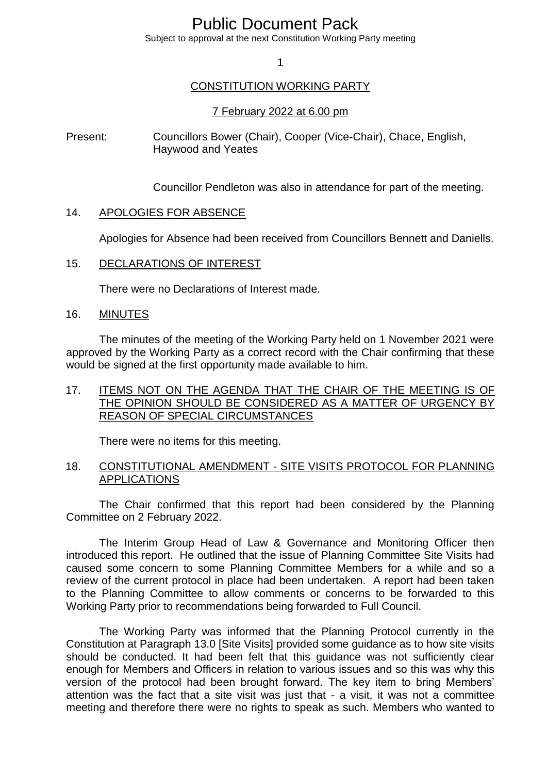# Public Document Pack

Subject to approval at the next Constitution Working Party meeting

1

## CONSTITUTION WORKING PARTY

#### 7 February 2022 at 6.00 pm

Present: Councillors Bower (Chair), Cooper (Vice-Chair), Chace, English, Haywood and Yeates

Councillor Pendleton was also in attendance for part of the meeting.

#### 14. APOLOGIES FOR ABSENCE

Apologies for Absence had been received from Councillors Bennett and Daniells.

#### 15. DECLARATIONS OF INTEREST

There were no Declarations of Interest made.

### 16. MINUTES

The minutes of the meeting of the Working Party held on 1 November 2021 were approved by the Working Party as a correct record with the Chair confirming that these would be signed at the first opportunity made available to him.

## 17. ITEMS NOT ON THE AGENDA THAT THE CHAIR OF THE MEETING IS OF THE OPINION SHOULD BE CONSIDERED AS A MATTER OF URGENCY BY REASON OF SPECIAL CIRCUMSTANCES

There were no items for this meeting.

## 18. CONSTITUTIONAL AMENDMENT - SITE VISITS PROTOCOL FOR PLANNING APPLICATIONS

The Chair confirmed that this report had been considered by the Planning Committee on 2 February 2022.

The Interim Group Head of Law & Governance and Monitoring Officer then introduced this report. He outlined that the issue of Planning Committee Site Visits had caused some concern to some Planning Committee Members for a while and so a review of the current protocol in place had been undertaken. A report had been taken to the Planning Committee to allow comments or concerns to be forwarded to this Working Party prior to recommendations being forwarded to Full Council.

The Working Party was informed that the Planning Protocol currently in the Constitution at Paragraph 13.0 [Site Visits] provided some guidance as to how site visits should be conducted. It had been felt that this guidance was not sufficiently clear enough for Members and Officers in relation to various issues and so this was why this version of the protocol had been brought forward. The key item to bring Members' attention was the fact that a site visit was just that - a visit, it was not a committee meeting and therefore there were no rights to speak as such. Members who wanted to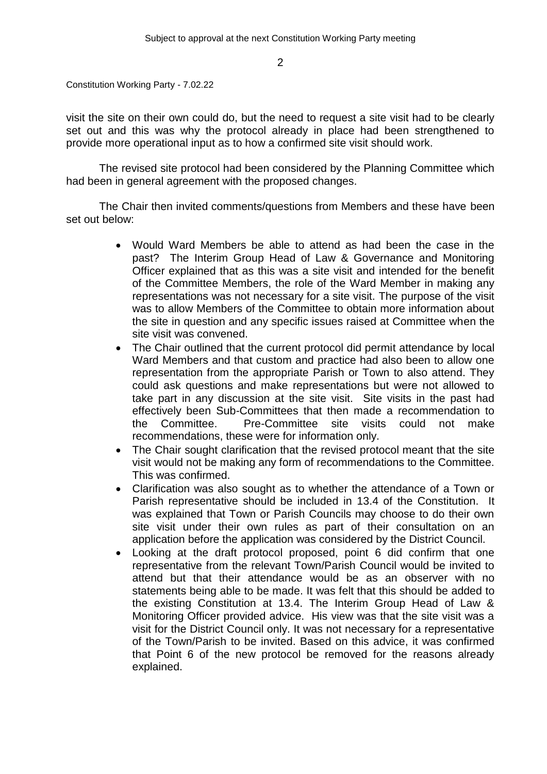2

Constitution Working Party - 7.02.22

visit the site on their own could do, but the need to request a site visit had to be clearly set out and this was why the protocol already in place had been strengthened to provide more operational input as to how a confirmed site visit should work.

The revised site protocol had been considered by the Planning Committee which had been in general agreement with the proposed changes.

The Chair then invited comments/questions from Members and these have been set out below:

- Would Ward Members be able to attend as had been the case in the past? The Interim Group Head of Law & Governance and Monitoring Officer explained that as this was a site visit and intended for the benefit of the Committee Members, the role of the Ward Member in making any representations was not necessary for a site visit. The purpose of the visit was to allow Members of the Committee to obtain more information about the site in question and any specific issues raised at Committee when the site visit was convened.
- The Chair outlined that the current protocol did permit attendance by local Ward Members and that custom and practice had also been to allow one representation from the appropriate Parish or Town to also attend. They could ask questions and make representations but were not allowed to take part in any discussion at the site visit. Site visits in the past had effectively been Sub-Committees that then made a recommendation to the Committee. Pre-Committee site visits could not make recommendations, these were for information only.
- The Chair sought clarification that the revised protocol meant that the site visit would not be making any form of recommendations to the Committee. This was confirmed.
- Clarification was also sought as to whether the attendance of a Town or Parish representative should be included in 13.4 of the Constitution. It was explained that Town or Parish Councils may choose to do their own site visit under their own rules as part of their consultation on an application before the application was considered by the District Council.
- Looking at the draft protocol proposed, point 6 did confirm that one representative from the relevant Town/Parish Council would be invited to attend but that their attendance would be as an observer with no statements being able to be made. It was felt that this should be added to the existing Constitution at 13.4. The Interim Group Head of Law & Monitoring Officer provided advice. His view was that the site visit was a visit for the District Council only. It was not necessary for a representative of the Town/Parish to be invited. Based on this advice, it was confirmed that Point 6 of the new protocol be removed for the reasons already explained.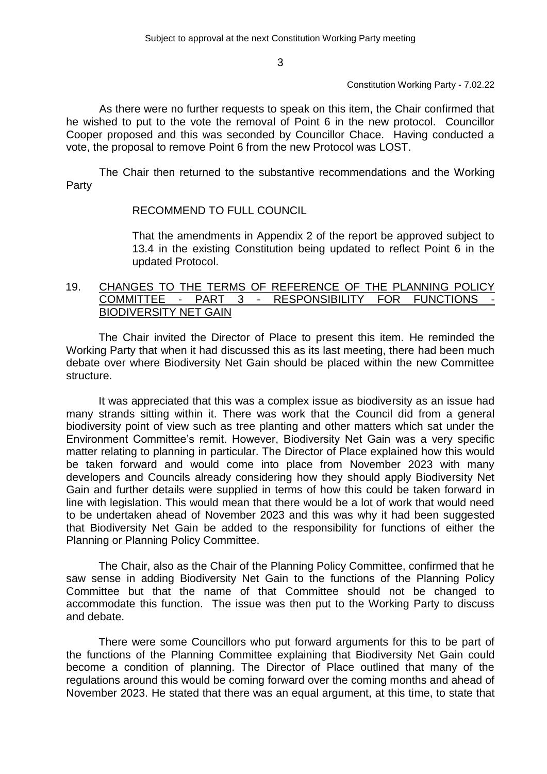3

#### Constitution Working Party - 7.02.22

As there were no further requests to speak on this item, the Chair confirmed that he wished to put to the vote the removal of Point 6 in the new protocol. Councillor Cooper proposed and this was seconded by Councillor Chace. Having conducted a vote, the proposal to remove Point 6 from the new Protocol was LOST.

The Chair then returned to the substantive recommendations and the Working Party

# RECOMMEND TO FULL COUNCIL

That the amendments in Appendix 2 of the report be approved subject to 13.4 in the existing Constitution being updated to reflect Point 6 in the updated Protocol.

## 19. CHANGES TO THE TERMS OF REFERENCE OF THE PLANNING POLICY<br>COMMITTEE - PART 3 - RESPONSIBILITY FOR FUNCTIONS PART 3 - RESPONSIBILITY FOR FUNCTIONS BIODIVERSITY NET GAIN

The Chair invited the Director of Place to present this item. He reminded the Working Party that when it had discussed this as its last meeting, there had been much debate over where Biodiversity Net Gain should be placed within the new Committee structure.

It was appreciated that this was a complex issue as biodiversity as an issue had many strands sitting within it. There was work that the Council did from a general biodiversity point of view such as tree planting and other matters which sat under the Environment Committee's remit. However, Biodiversity Net Gain was a very specific matter relating to planning in particular. The Director of Place explained how this would be taken forward and would come into place from November 2023 with many developers and Councils already considering how they should apply Biodiversity Net Gain and further details were supplied in terms of how this could be taken forward in line with legislation. This would mean that there would be a lot of work that would need to be undertaken ahead of November 2023 and this was why it had been suggested that Biodiversity Net Gain be added to the responsibility for functions of either the Planning or Planning Policy Committee.

The Chair, also as the Chair of the Planning Policy Committee, confirmed that he saw sense in adding Biodiversity Net Gain to the functions of the Planning Policy Committee but that the name of that Committee should not be changed to accommodate this function. The issue was then put to the Working Party to discuss and debate.

There were some Councillors who put forward arguments for this to be part of the functions of the Planning Committee explaining that Biodiversity Net Gain could become a condition of planning. The Director of Place outlined that many of the regulations around this would be coming forward over the coming months and ahead of November 2023. He stated that there was an equal argument, at this time, to state that